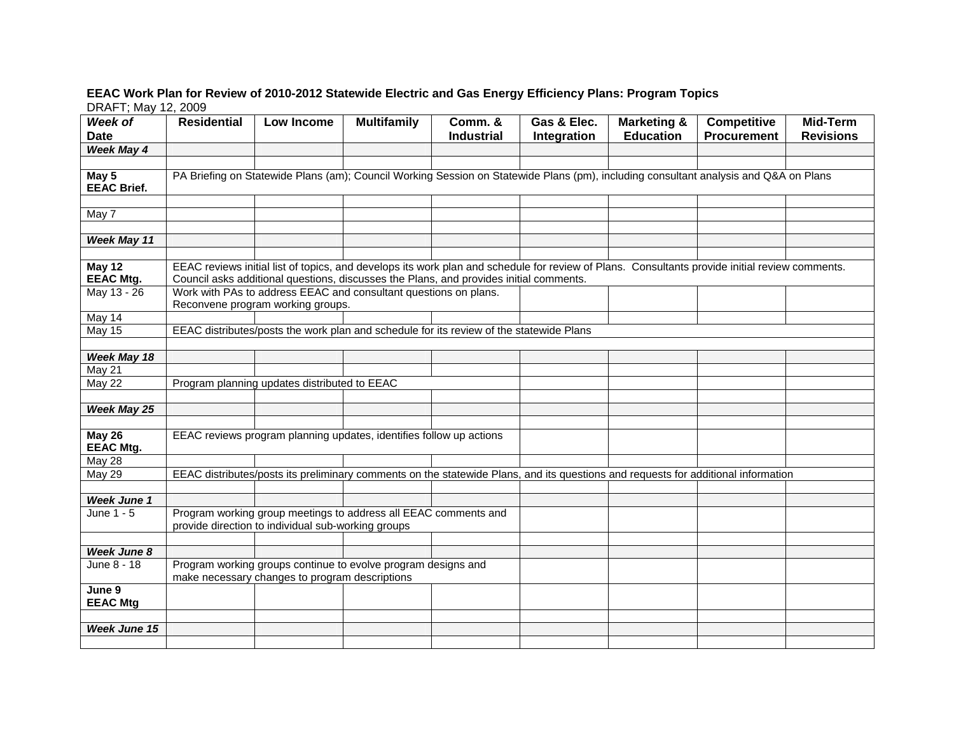## **EEAC Work Plan for Review of 2010-2012 Statewide Electric and Gas Energy Efficiency Plans: Program Topics**  DRAFT; May 12, 2009

| Week of                     | <b>Residential</b>                                                                                                                                                                                                                       | Low Income                                   | <b>Multifamily</b> | Comm. &                                                                                 | Gas & Elec. | <b>Marketing &amp;</b> | Competitive                                                                                                                       | <b>Mid-Term</b>  |  |  |  |
|-----------------------------|------------------------------------------------------------------------------------------------------------------------------------------------------------------------------------------------------------------------------------------|----------------------------------------------|--------------------|-----------------------------------------------------------------------------------------|-------------|------------------------|-----------------------------------------------------------------------------------------------------------------------------------|------------------|--|--|--|
| <b>Date</b>                 |                                                                                                                                                                                                                                          |                                              |                    | <b>Industrial</b>                                                                       | Integration | <b>Education</b>       | <b>Procurement</b>                                                                                                                | <b>Revisions</b> |  |  |  |
| Week May 4                  |                                                                                                                                                                                                                                          |                                              |                    |                                                                                         |             |                        |                                                                                                                                   |                  |  |  |  |
|                             |                                                                                                                                                                                                                                          |                                              |                    |                                                                                         |             |                        |                                                                                                                                   |                  |  |  |  |
| May 5<br><b>EEAC Brief.</b> | PA Briefing on Statewide Plans (am); Council Working Session on Statewide Plans (pm), including consultant analysis and Q&A on Plans                                                                                                     |                                              |                    |                                                                                         |             |                        |                                                                                                                                   |                  |  |  |  |
|                             |                                                                                                                                                                                                                                          |                                              |                    |                                                                                         |             |                        |                                                                                                                                   |                  |  |  |  |
| May 7                       |                                                                                                                                                                                                                                          |                                              |                    |                                                                                         |             |                        |                                                                                                                                   |                  |  |  |  |
|                             |                                                                                                                                                                                                                                          |                                              |                    |                                                                                         |             |                        |                                                                                                                                   |                  |  |  |  |
| Week May 11                 |                                                                                                                                                                                                                                          |                                              |                    |                                                                                         |             |                        |                                                                                                                                   |                  |  |  |  |
|                             |                                                                                                                                                                                                                                          |                                              |                    |                                                                                         |             |                        |                                                                                                                                   |                  |  |  |  |
| May 12<br><b>EEAC Mtg.</b>  | EEAC reviews initial list of topics, and develops its work plan and schedule for review of Plans. Consultants provide initial review comments.<br>Council asks additional questions, discusses the Plans, and provides initial comments. |                                              |                    |                                                                                         |             |                        |                                                                                                                                   |                  |  |  |  |
| May 13 - 26                 | Work with PAs to address EEAC and consultant questions on plans.<br>Reconvene program working groups.                                                                                                                                    |                                              |                    |                                                                                         |             |                        |                                                                                                                                   |                  |  |  |  |
| May 14                      |                                                                                                                                                                                                                                          |                                              |                    |                                                                                         |             |                        |                                                                                                                                   |                  |  |  |  |
| $\overline{\text{May }15}$  |                                                                                                                                                                                                                                          |                                              |                    | EEAC distributes/posts the work plan and schedule for its review of the statewide Plans |             |                        |                                                                                                                                   |                  |  |  |  |
|                             |                                                                                                                                                                                                                                          |                                              |                    |                                                                                         |             |                        |                                                                                                                                   |                  |  |  |  |
| Week May 18                 |                                                                                                                                                                                                                                          |                                              |                    |                                                                                         |             |                        |                                                                                                                                   |                  |  |  |  |
| <b>May 21</b>               |                                                                                                                                                                                                                                          |                                              |                    |                                                                                         |             |                        |                                                                                                                                   |                  |  |  |  |
| May 22                      |                                                                                                                                                                                                                                          | Program planning updates distributed to EEAC |                    |                                                                                         |             |                        |                                                                                                                                   |                  |  |  |  |
|                             |                                                                                                                                                                                                                                          |                                              |                    |                                                                                         |             |                        |                                                                                                                                   |                  |  |  |  |
| Week May 25                 |                                                                                                                                                                                                                                          |                                              |                    |                                                                                         |             |                        |                                                                                                                                   |                  |  |  |  |
|                             |                                                                                                                                                                                                                                          |                                              |                    |                                                                                         |             |                        |                                                                                                                                   |                  |  |  |  |
| May 26<br><b>EEAC Mtg.</b>  | EEAC reviews program planning updates, identifies follow up actions                                                                                                                                                                      |                                              |                    |                                                                                         |             |                        |                                                                                                                                   |                  |  |  |  |
| <b>May 28</b>               |                                                                                                                                                                                                                                          |                                              |                    |                                                                                         |             |                        |                                                                                                                                   |                  |  |  |  |
| <b>May 29</b>               |                                                                                                                                                                                                                                          |                                              |                    |                                                                                         |             |                        | EEAC distributes/posts its preliminary comments on the statewide Plans, and its questions and requests for additional information |                  |  |  |  |
|                             |                                                                                                                                                                                                                                          |                                              |                    |                                                                                         |             |                        |                                                                                                                                   |                  |  |  |  |
| Week June 1                 |                                                                                                                                                                                                                                          |                                              |                    |                                                                                         |             |                        |                                                                                                                                   |                  |  |  |  |
| June 1 - 5                  | Program working group meetings to address all EEAC comments and<br>provide direction to individual sub-working groups                                                                                                                    |                                              |                    |                                                                                         |             |                        |                                                                                                                                   |                  |  |  |  |
|                             |                                                                                                                                                                                                                                          |                                              |                    |                                                                                         |             |                        |                                                                                                                                   |                  |  |  |  |
| <b>Week June 8</b>          |                                                                                                                                                                                                                                          |                                              |                    |                                                                                         |             |                        |                                                                                                                                   |                  |  |  |  |
| June 8 - 18                 | Program working groups continue to evolve program designs and<br>make necessary changes to program descriptions                                                                                                                          |                                              |                    |                                                                                         |             |                        |                                                                                                                                   |                  |  |  |  |
| June 9<br><b>EEAC Mtg</b>   |                                                                                                                                                                                                                                          |                                              |                    |                                                                                         |             |                        |                                                                                                                                   |                  |  |  |  |
|                             |                                                                                                                                                                                                                                          |                                              |                    |                                                                                         |             |                        |                                                                                                                                   |                  |  |  |  |
| <b>Week June 15</b>         |                                                                                                                                                                                                                                          |                                              |                    |                                                                                         |             |                        |                                                                                                                                   |                  |  |  |  |
|                             |                                                                                                                                                                                                                                          |                                              |                    |                                                                                         |             |                        |                                                                                                                                   |                  |  |  |  |